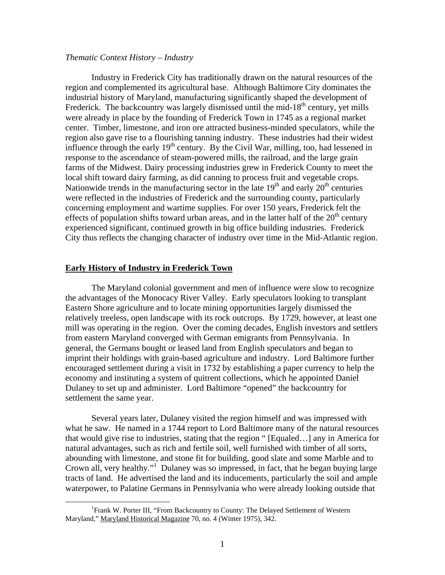## *Thematic Context History – Industry*

Industry in Frederick City has traditionally drawn on the natural resources of the region and complemented its agricultural base. Although Baltimore City dominates the industrial history of Maryland, manufacturing significantly shaped the development of Frederick. The backcountry was largely dismissed until the mid-18<sup>th</sup> century, yet mills were already in place by the founding of Frederick Town in 1745 as a regional market center. Timber, limestone, and iron ore attracted business-minded speculators, while the region also gave rise to a flourishing tanning industry. These industries had their widest influence through the early  $19<sup>th</sup>$  century. By the Civil War, milling, too, had lessened in response to the ascendance of steam-powered mills, the railroad, and the large grain farms of the Midwest. Dairy processing industries grew in Frederick County to meet the local shift toward dairy farming, as did canning to process fruit and vegetable crops. Nationwide trends in the manufacturing sector in the late  $19<sup>th</sup>$  and early  $20<sup>th</sup>$  centuries were reflected in the industries of Frederick and the surrounding county, particularly concerning employment and wartime supplies. For over 150 years, Frederick felt the effects of population shifts toward urban areas, and in the latter half of the  $20<sup>th</sup>$  century experienced significant, continued growth in big office building industries. Frederick City thus reflects the changing character of industry over time in the Mid-Atlantic region.

### **Early History of Industry in Frederick Town**

The Maryland colonial government and men of influence were slow to recognize the advantages of the Monocacy River Valley. Early speculators looking to transplant Eastern Shore agriculture and to locate mining opportunities largely dismissed the relatively treeless, open landscape with its rock outcrops. By 1729, however, at least one mill was operating in the region. Over the coming decades, English investors and settlers from eastern Maryland converged with German emigrants from Pennsylvania. In general, the Germans bought or leased land from English speculators and began to imprint their holdings with grain-based agriculture and industry. Lord Baltimore further encouraged settlement during a visit in 1732 by establishing a paper currency to help the economy and instituting a system of quitrent collections, which he appointed Daniel Dulaney to set up and administer. Lord Baltimore "opened" the backcountry for settlement the same year.

Several years later, Dulaney visited the region himself and was impressed with what he saw. He named in a 1744 report to Lord Baltimore many of the natural resources that would give rise to industries, stating that the region " [Equaled…] any in America for natural advantages, such as rich and fertile soil, well furnished with timber of all sorts, abounding with limestone, and stone fit for building, good slate and some Marble and to Crown all, very healthy."<sup>[1](#page-0-0)</sup> Dulaney was so impressed, in fact, that he began buying large tracts of land. He advertised the land and its inducements, particularly the soil and ample waterpower, to Palatine Germans in Pennsylvania who were already looking outside that

<span id="page-0-0"></span> $\frac{1}{1}$ <sup>1</sup> Frank W. Porter III, "From Backcountry to County: The Delayed Settlement of Western Maryland," Maryland Historical Magazine 70, no. 4 (Winter 1975), 342.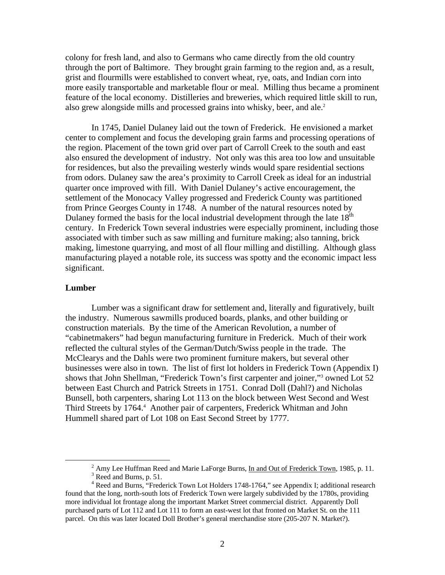colony for fresh land, and also to Germans who came directly from the old country through the port of Baltimore. They brought grain farming to the region and, as a result, grist and flourmills were established to convert wheat, rye, oats, and Indian corn into more easily transportable and marketable flour or meal. Milling thus became a prominent feature of the local economy. Distilleries and breweries, which required little skill to run, also grew alongside mills and processed grains into whisky, beer, and ale.<sup>[2](#page-1-0)</sup>

In 1745, Daniel Dulaney laid out the town of Frederick. He envisioned a market center to complement and focus the developing grain farms and processing operations of the region. Placement of the town grid over part of Carroll Creek to the south and east also ensured the development of industry. Not only was this area too low and unsuitable for residences, but also the prevailing westerly winds would spare residential sections from odors. Dulaney saw the area's proximity to Carroll Creek as ideal for an industrial quarter once improved with fill. With Daniel Dulaney's active encouragement, the settlement of the Monocacy Valley progressed and Frederick County was partitioned from Prince Georges County in 1748. A number of the natural resources noted by Dulaney formed the basis for the local industrial development through the late  $18<sup>th</sup>$ century. In Frederick Town several industries were especially prominent, including those associated with timber such as saw milling and furniture making; also tanning, brick making, limestone quarrying, and most of all flour milling and distilling. Although glass manufacturing played a notable role, its success was spotty and the economic impact less significant.

## **Lumber**

Lumber was a significant draw for settlement and, literally and figuratively, built the industry. Numerous sawmills produced boards, planks, and other building or construction materials. By the time of the American Revolution, a number of "cabinetmakers" had begun manufacturing furniture in Frederick. Much of their work reflected the cultural styles of the German/Dutch/Swiss people in the trade. The McClearys and the Dahls were two prominent furniture makers, but several other businesses were also in town. The list of first lot holders in Frederick Town (Appendix I) shows that John Shellman, "Frederick Town's first carpenter and joiner,"<sup>[3](#page-1-1)</sup> owned Lot 52 between East Church and Patrick Streets in 1751. Conrad Doll (Dahl?) and Nicholas Bunsell, both carpenters, sharing Lot 113 on the block between West Second and West Third Streets by 176[4](#page-1-2).<sup>4</sup> Another pair of carpenters, Frederick Whitman and John Hummell shared part of Lot 108 on East Second Street by 1777.

 $\frac{1}{2}$  $^2$  Amy Lee Huffman Reed and Marie LaForge Burns, In and Out of Frederick Town, 1985, p. 11.

<span id="page-1-2"></span><span id="page-1-1"></span><span id="page-1-0"></span> $3$  Reed and Burns, p. 51.

<sup>&</sup>lt;sup>4</sup> Reed and Burns, "Frederick Town Lot Holders 1748-1764," see Appendix I; additional research found that the long, north-south lots of Frederick Town were largely subdivided by the 1780s, providing more individual lot frontage along the important Market Street commercial district. Apparently Doll purchased parts of Lot 112 and Lot 111 to form an east-west lot that fronted on Market St. on the 111 parcel. On this was later located Doll Brother's general merchandise store (205-207 N. Market?).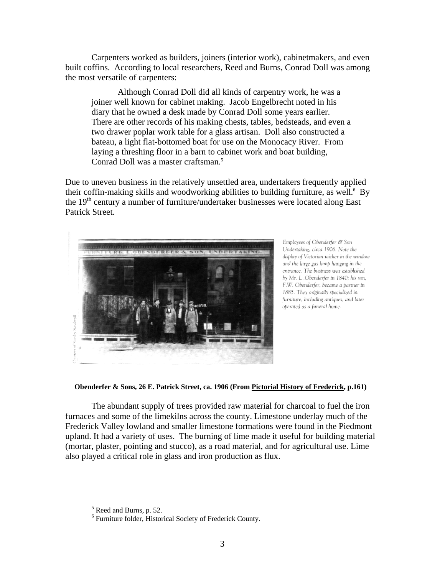Carpenters worked as builders, joiners (interior work), cabinetmakers, and even built coffins. According to local researchers, Reed and Burns, Conrad Doll was among the most versatile of carpenters:

Although Conrad Doll did all kinds of carpentry work, he was a joiner well known for cabinet making. Jacob Engelbrecht noted in his diary that he owned a desk made by Conrad Doll some years earlier. There are other records of his making chests, tables, bedsteads, and even a two drawer poplar work table for a glass artisan. Doll also constructed a bateau, a light flat-bottomed boat for use on the Monocacy River. From laying a threshing floor in a barn to cabinet work and boat building, Conrad Doll was a master craftsman.<sup>[5](#page-2-0)</sup>

Due to uneven business in the relatively unsettled area, undertakers frequently applied their coffin-making skills and woodworking abilities to building furniture, as well.<sup>[6](#page-2-1)</sup> By the  $19<sup>th</sup>$  century a number of furniture/undertaker businesses were located along East Patrick Street.



Employees of Obenderfer & Son Undertaking, circa 1906. Note the display of Victorian wicker in the window and the large gas lamp hanging in the entrance. The business was established by Mr. L. Obenderfer in 1840; his son, F.W. Obenderfer, became a partner in 1885. They originally specialized in furniture, including antiques, and later operated as a funeral home.

 **Obenderfer & Sons, 26 E. Patrick Street, ca. 1906 (From Pictorial History of Frederick, p.161)**

The abundant supply of trees provided raw material for charcoal to fuel the iron furnaces and some of the limekilns across the county. Limestone underlay much of the Frederick Valley lowland and smaller limestone formations were found in the Piedmont upland. It had a variety of uses. The burning of lime made it useful for building material (mortar, plaster, pointing and stucco), as a road material, and for agricultural use. Lime also played a critical role in glass and iron production as flux.

 $\frac{1}{5}$ 

<span id="page-2-1"></span><span id="page-2-0"></span> $\frac{1}{6}$  Reed and Burns, p. 52. 6 Furniture folder, Historical Society of Frederick County.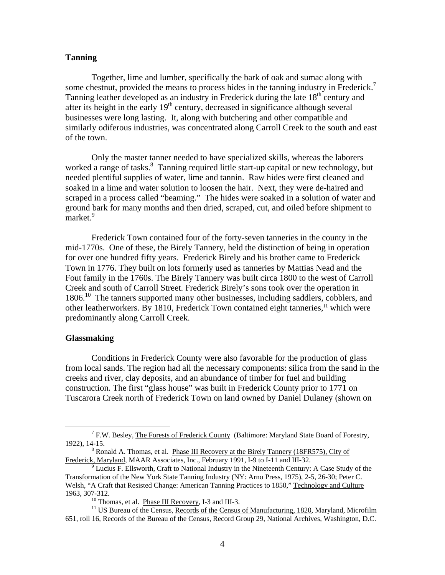## **Tanning**

Together, lime and lumber, specifically the bark of oak and sumac along with some chestnut, provided the means to process hides in the tanning industry in Frederick.<sup>[7](#page-3-0)</sup> Tanning leather developed as an industry in Frederick during the late  $18<sup>th</sup>$  century and after its height in the early  $19<sup>th</sup>$  century, decreased in significance although several businesses were long lasting. It, along with butchering and other compatible and similarly odiferous industries, was concentrated along Carroll Creek to the south and east of the town.

Only the master tanner needed to have specialized skills, whereas the laborers worked a range of tasks.<sup>8</sup> Tanning required little start-up capital or new technology, but needed plentiful supplies of water, lime and tannin. Raw hides were first cleaned and soaked in a lime and water solution to loosen the hair. Next, they were de-haired and scraped in a process called "beaming." The hides were soaked in a solution of water and ground bark for many months and then dried, scraped, cut, and oiled before shipment to market.<sup>9</sup>

Frederick Town contained four of the forty-seven tanneries in the county in the mid-1770s. One of these, the Birely Tannery, held the distinction of being in operation for over one hundred fifty years. Frederick Birely and his brother came to Frederick Town in 1776. They built on lots formerly used as tanneries by Mattias Nead and the Fout family in the 1760s. The Birely Tannery was built circa 1800 to the west of Carroll Creek and south of Carroll Street. Frederick Birely's sons took over the operation in 1806.<sup>10</sup> The tanners supported many other businesses, including saddlers, cobblers, and other leatherworkers. By 1810, Frederick Town contained eight tanneries, $<sup>11</sup>$  which were</sup> predominantly along Carroll Creek.

### **Glassmaking**

Conditions in Frederick County were also favorable for the production of glass from local sands. The region had all the necessary components: silica from the sand in the creeks and river, clay deposits, and an abundance of timber for fuel and building construction. The first "glass house" was built in Frederick County prior to 1771 on Tuscarora Creek north of Frederick Town on land owned by Daniel Dulaney (shown on

<span id="page-3-0"></span> $\begin{array}{c|c}\n\hline\n\end{array}$  $^7$  F.W. Besley, The Forests of Frederick County (Baltimore: Maryland State Board of Forestry, 1922), 14-15. 8

<span id="page-3-1"></span><sup>&</sup>lt;sup>8</sup> Ronald A. Thomas, et al. Phase III Recovery at the Birely Tannery (18FR575), City of Frederick, Maryland, MAAR Associates, Inc., February 1991*,* I-9 to I-11 and III-32. 9

<span id="page-3-2"></span>Lucius F. Ellsworth, Craft to National Industry in the Nineteenth Century: A Case Study of the Transformation of the New York State Tanning Industry (NY: Arno Press, 1975), 2-5, 26-30; Peter C. Welsh, "A Craft that Resisted Change: American Tanning Practices to 1850," Technology and Culture 1963, 307-312.<br><sup>10</sup> Thomas, et al. <u>Phase III Recovery</u>, I-3 and III-3.<br><sup>11</sup> US Bureau of the Census, <u>Records of the Census of Manufacturing, 1820</u>, Maryland, Microfilm

<span id="page-3-4"></span><span id="page-3-3"></span>

<sup>651,</sup> roll 16, Records of the Bureau of the Census, Record Group 29, National Archives, Washington, D.C.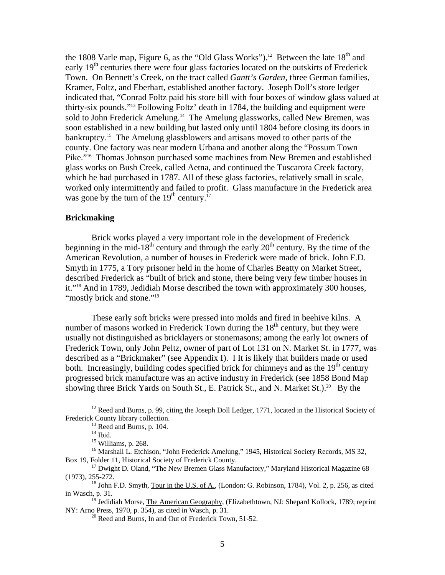the 1808 Varle map, Figure 6, as the "Old Glass Works").<sup>12</sup> Between the late  $18<sup>th</sup>$  and early  $19<sup>th</sup>$  centuries there were four glass factories located on the outskirts of Frederick Town. On Bennett's Creek, on the tract called *Gantt's Garden*, three German families, Kramer, Foltz, and Eberhart, established another factory. Joseph Doll's store ledger indicated that, "Conrad Foltz paid his store bill with four boxes of window glass valued at thirty-six pounds.["13](#page-4-1) Following Foltz' death in 1784, the building and equipment were sold to John Frederick Amelung.<sup>14</sup> The Amelung glassworks, called New Bremen, was soon established in a new building but lasted only until 1804 before closing its doors in bankruptcy[.15](#page-4-3) The Amelung glassblowers and artisans moved to other parts of the county. One factory was near modern Urbana and another along the "Possum Town Pike.["16](#page-4-4) Thomas Johnson purchased some machines from New Bremen and established glass works on Bush Creek, called Aetna, and continued the Tuscarora Creek factory, which he had purchased in 1787. All of these glass factories, relatively small in scale, worked only intermittently and failed to profit. Glass manufacture in the Frederick area was gone by the turn of the  $19<sup>th</sup>$  century.<sup>[17](#page-4-5)</sup>

## **Brickmaking**

Brick works played a very important role in the development of Frederick beginning in the mid-18<sup>th</sup> century and through the early  $20<sup>th</sup>$  century. By the time of the American Revolution, a number of houses in Frederick were made of brick. John F.D. Smyth in 1775, a Tory prisoner held in the home of Charles Beatty on Market Street, described Frederick as "built of brick and stone, there being very few timber houses in it.["18](#page-4-6) And in 1789, Jedidiah Morse described the town with approximately 300 houses, "mostly brick and stone."<sup>19</sup>

These early soft bricks were pressed into molds and fired in beehive kilns. A number of masons worked in Frederick Town during the  $18<sup>th</sup>$  century, but they were usually not distinguished as bricklayers or stonemasons; among the early lot owners of Frederick Town, only John Peltz, owner of part of Lot 131 on N. Market St. in 1777, was described as a "Brickmaker" (see Appendix I). I It is likely that builders made or used both. Increasingly, building codes specified brick for chimneys and as the  $19<sup>th</sup>$  century progressed brick manufacture was an active industry in Frederick (see 1858 Bond Map showing three Brick Yards on South St., E. Patrick St., and N. Market St.).<sup>20</sup> By the

<sup>&</sup>lt;sup>12</sup> Reed and Burns, p. 99, citing the Joseph Doll Ledger, 1771, located in the Historical Society of Frederick County library collection.

<span id="page-4-1"></span><span id="page-4-0"></span>

<span id="page-4-2"></span>

<span id="page-4-5"></span><span id="page-4-4"></span><span id="page-4-3"></span>

<sup>&</sup>lt;sup>13</sup> Reed and Burns, p. 104.<br><sup>14</sup> Ibid. <sup>14</sup> Ibid. 15 Williams, p. 268. 16 Marshall L. Etchison, "John Frederick Amelung," 1945, Historical Society Records, MS 32, Box 19, Folder 11, Historical Society of Frederick County.<br><sup>17</sup> Dwight D. Oland, "The New Bremen Glass Manufactory," Maryland Historical Magazine 68

<sup>(1973), 255-272.&</sup>lt;br><sup>18</sup> John F.D. Smyth, <u>Tour in the U.S. of A.</u>, (London: G. Robinson, 1784), Vol. 2, p. 256, as cited

<span id="page-4-6"></span>in Wasch, p. 31.<br><sup>19</sup> Jedidiah Morse, <u>The American Geography</u>, (Elizabethtown, NJ: Shepard Kollock, 1789; reprint

NY: Arno Press, 1970, p. 354), as cited in Wasch, p. 31.<br><sup>20</sup> Reed and Burns, In and Out of Frederick Town, 51-52.

<span id="page-4-8"></span><span id="page-4-7"></span>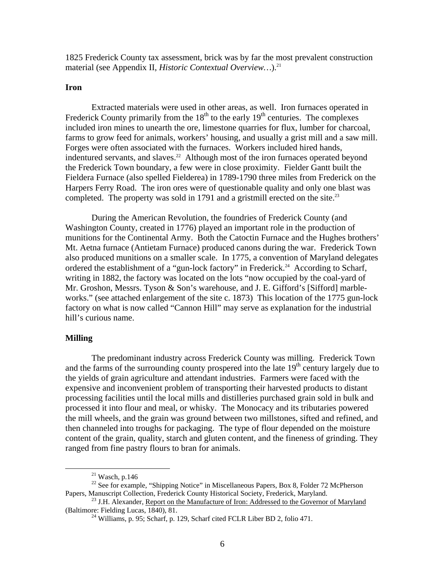1825 Frederick County tax assessment, brick was by far the most prevalent construction material (see Appendix II, *Historic Contextual Overview...*).<sup>21</sup>

## **Iron**

Extracted materials were used in other areas, as well. Iron furnaces operated in Frederick County primarily from the  $18<sup>th</sup>$  to the early  $19<sup>th</sup>$  centuries. The complexes included iron mines to unearth the ore, limestone quarries for flux, lumber for charcoal, farms to grow feed for animals, workers' housing, and usually a grist mill and a saw mill. Forges were often associated with the furnaces. Workers included hired hands, indentured servants, and slaves.<sup>22</sup> Although most of the iron furnaces operated beyond the Frederick Town boundary, a few were in close proximity. Fielder Gantt built the Fieldera Furnace (also spelled Fielderea) in 1789-1790 three miles from Frederick on the Harpers Ferry Road. The iron ores were of questionable quality and only one blast was completed. The property was sold in 1791 and a gristmill erected on the site.<sup>[23](#page-5-2)</sup>

During the American Revolution, the foundries of Frederick County (and Washington County, created in 1776) played an important role in the production of munitions for the Continental Army. Both the Catoctin Furnace and the Hughes brothers' Mt. Aetna furnace (Antietam Furnace) produced canons during the war. Frederick Town also produced munitions on a smaller scale. In 1775, a convention of Maryland delegates ordered the establishment of a "gun-lock factory" in Frederick.<sup>24</sup> According to Scharf, writing in 1882, the factory was located on the lots "now occupied by the coal-yard of Mr. Groshon, Messrs. Tyson & Son's warehouse, and J. E. Gifford's [Sifford] marbleworks." (see attached enlargement of the site c. 1873) This location of the 1775 gun-lock factory on what is now called "Cannon Hill" may serve as explanation for the industrial hill's curious name.

### **Milling**

The predominant industry across Frederick County was milling. Frederick Town and the farms of the surrounding county prospered into the late  $19<sup>th</sup>$  century largely due to the yields of grain agriculture and attendant industries. Farmers were faced with the expensive and inconvenient problem of transporting their harvested products to distant processing facilities until the local mills and distilleries purchased grain sold in bulk and processed it into flour and meal, or whisky. The Monocacy and its tributaries powered the mill wheels, and the grain was ground between two millstones, sifted and refined, and then channeled into troughs for packaging. The type of flour depended on the moisture content of the grain, quality, starch and gluten content, and the fineness of grinding. They ranged from fine pastry flours to bran for animals.

<span id="page-5-1"></span><span id="page-5-0"></span>

<sup>&</sup>lt;sup>21</sup> Wasch, p.146<br><sup>22</sup> See for example, "Shipping Notice" in Miscellaneous Papers, Box 8, Folder 72 McPherson<br>Papers, Manuscript Collection, Frederick County Historical Society, Frederick, Maryland.

<sup>&</sup>lt;sup>23</sup> J.H. Alexander, <u>Report on the Manufacture of Iron: Addressed to the Governor of Maryland</u>. (Baltimore: Fielding Lucas, 1840), 81.

<span id="page-5-3"></span><span id="page-5-2"></span> $^{24}$  Williams, p. 95; Scharf, p. 129, Scharf cited FCLR Liber BD 2, folio 471.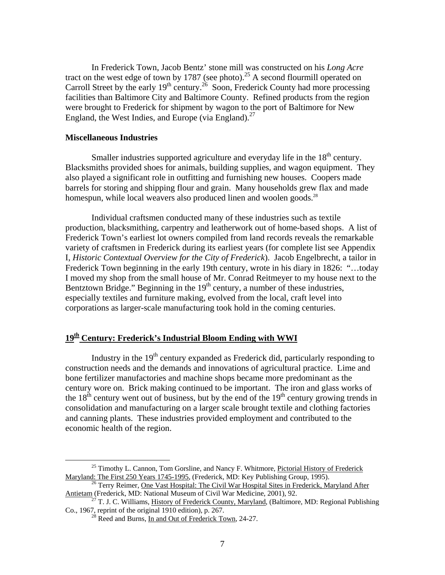In Frederick Town, Jacob Bentz' stone mill was constructed on his *Long Acre* tract on the west edge of town by 1787 (see photo).<sup>25</sup> A second flourmill operated on Carroll Street by the early 19<sup>th</sup> century.<sup>26</sup> Soon, Frederick County had more processing facilities than Baltimore City and Baltimore County. Refined products from the region were brought to Frederick for shipment by wagon to the port of Baltimore for New England, the West Indies, and Europe (via England). $^{27}$ 

### **Miscellaneous Industries**

Smaller industries supported agriculture and everyday life in the  $18<sup>th</sup>$  century. Blacksmiths provided shoes for animals, building supplies, and wagon equipment. They also played a significant role in outfitting and furnishing new houses. Coopers made barrels for storing and shipping flour and grain. Many households grew flax and made homespun, while local weavers also produced linen and woolen goods.<sup>28</sup>

Individual craftsmen conducted many of these industries such as textile production, blacksmithing, carpentry and leatherwork out of home-based shops. A list of Frederick Town's earliest lot owners compiled from land records reveals the remarkable variety of craftsmen in Frederick during its earliest years (for complete list see Appendix I, *Historic Contextual Overview for the City of Frederick*). Jacob Engelbrecht, a tailor in Frederick Town beginning in the early 19th century, wrote in his diary in 1826: "...today I moved my shop from the small house of Mr. Conrad Reitmeyer to my house next to the Bentztown Bridge." Beginning in the  $19<sup>th</sup>$  century, a number of these industries, especially textiles and furniture making, evolved from the local, craft level into corporations as larger-scale manufacturing took hold in the coming centuries.

## 19<sup>th</sup> Century: Frederick's Industrial Bloom Ending with WWI

Industry in the  $19<sup>th</sup>$  century expanded as Frederick did, particularly responding to construction needs and the demands and innovations of agricultural practice. Lime and bone fertilizer manufactories and machine shops became more predominant as the century wore on. Brick making continued to be important. The iron and glass works of the  $18<sup>th</sup>$  century went out of business, but by the end of the  $19<sup>th</sup>$  century growing trends in consolidation and manufacturing on a larger scale brought textile and clothing factories and canning plants. These industries provided employment and contributed to the economic health of the region.

<span id="page-6-0"></span><sup>&</sup>lt;sup>25</sup> Timothy L. Cannon, Tom Gorsline, and Nancy F. Whitmore, *Pictorial History of Frederick* Maryland: The First 250 Years 1745-1995, (Frederick, MD: Key Publishing Group, 1995).

<span id="page-6-1"></span><sup>&</sup>lt;sup>26</sup> Terry Reimer, <u>One Vast Hospital: The Civil War Hospital Sites in Frederick, Maryland After Antietam (Frederick, MD: National Museum of Civil War Medicine, 2001), 92.</u>

<sup>&</sup>lt;sup>27</sup> T. J. C. Williams, History of Frederick County, Maryland, (Baltimore, MD: Regional Publishing Co., 1967, reprint of the original 1910 edition), p. 267.<br><sup>28</sup> Reed and Burns, <u>In and Out of Frederick Town</u>, 24-27.

<span id="page-6-3"></span><span id="page-6-2"></span>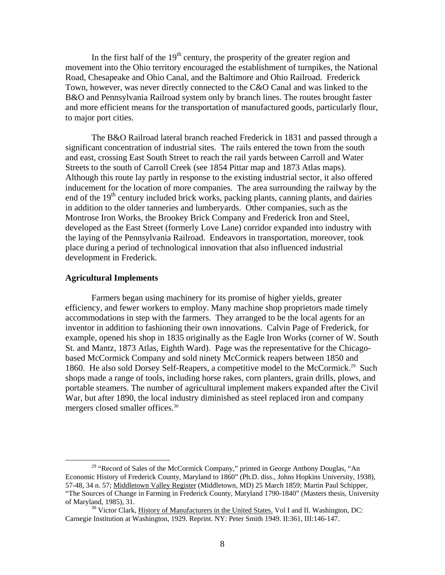In the first half of the  $19<sup>th</sup>$  century, the prosperity of the greater region and movement into the Ohio territory encouraged the establishment of turnpikes, the National Road, Chesapeake and Ohio Canal, and the Baltimore and Ohio Railroad. Frederick Town, however, was never directly connected to the C&O Canal and was linked to the B&O and Pennsylvania Railroad system only by branch lines. The routes brought faster and more efficient means for the transportation of manufactured goods, particularly flour, to major port cities.

The B&O Railroad lateral branch reached Frederick in 1831 and passed through a significant concentration of industrial sites. The rails entered the town from the south and east, crossing East South Street to reach the rail yards between Carroll and Water Streets to the south of Carroll Creek (see 1854 Pittar map and 1873 Atlas maps). Although this route lay partly in response to the existing industrial sector, it also offered inducement for the location of more companies. The area surrounding the railway by the end of the  $19<sup>th</sup>$  century included brick works, packing plants, canning plants, and dairies in addition to the older tanneries and lumberyards. Other companies, such as the Montrose Iron Works, the Brookey Brick Company and Frederick Iron and Steel, developed as the East Street (formerly Love Lane) corridor expanded into industry with the laying of the Pennsylvania Railroad. Endeavors in transportation, moreover, took place during a period of technological innovation that also influenced industrial development in Frederick.

### **Agricultural Implements**

Farmers began using machinery for its promise of higher yields, greater efficiency, and fewer workers to employ. Many machine shop proprietors made timely accommodations in step with the farmers. They arranged to be the local agents for an inventor in addition to fashioning their own innovations. Calvin Page of Frederick, for example, opened his shop in 1835 originally as the Eagle Iron Works (corner of W. South St. and Mantz, 1873 Atlas, Eighth Ward). Page was the representative for the Chicagobased McCormick Company and sold ninety McCormick reapers between 1850 and 1860. He also sold Dorsey Self-Reapers, a competitive model to the McCormick.<sup>29</sup> Such shops made a range of tools, including horse rakes, corn planters, grain drills, plows, and portable steamers. The number of agricultural implement makers expanded after the Civil War, but after 1890, the local industry diminished as steel replaced iron and company mergers closed smaller offices.[30](#page-7-1)

<span id="page-7-0"></span><sup>&</sup>lt;sup>29</sup> "Record of Sales of the McCormick Company," printed in George Anthony Douglas, "An Economic History of Frederick County, Maryland to 1860" (Ph.D. diss., Johns Hopkins University, 1938), 57-48, 34 n. 57; Middletown Valley Register (Middletown, MD) 25 March 1859; Martin Paul Schipper, "The Sources of Change in Farming in Frederick County, Maryland 1790-1840" (Masters thesis, University of Maryland, 1985), 31.<br><sup>30</sup> Victor Clark, <u>History of Manufacturers in the United States.</u> Vol I and II. Washington, DC:

<span id="page-7-1"></span>Carnegie Institution at Washington, 1929. Reprint. NY: Peter Smith 1949. II:361, III:146-147.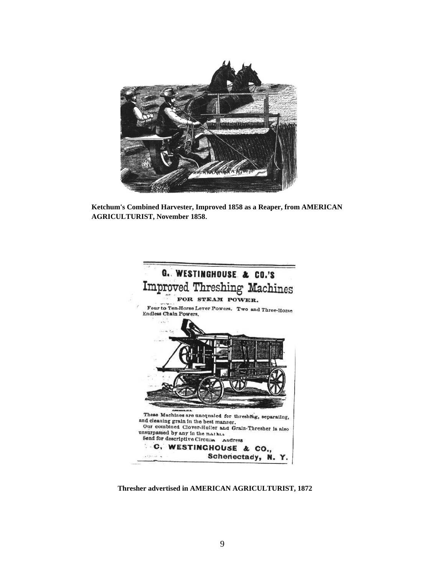

**Ketchum's Combined Harvester, Improved 1858 as a Reaper, from AMERICAN AGRICULTURIST, November 1858**.



**Thresher advertised in AMERICAN AGRICULTURIST, 1872**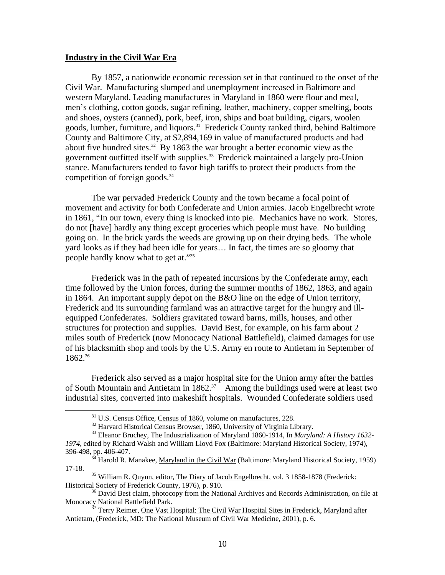#### **Industry in the Civil War Era**

 $\overline{a}$ 

By 1857, a nationwide economic recession set in that continued to the onset of the Civil War. Manufacturing slumped and unemployment increased in Baltimore and western Maryland. Leading manufactures in Maryland in 1860 were flour and meal, men's clothing, cotton goods, sugar refining, leather, machinery, copper smelting, boots and shoes, oysters (canned), pork, beef, iron, ships and boat building, cigars, woolen goods, lumber, furniture, and liquors.<sup>31</sup> Frederick County ranked third, behind Baltimore County and Baltimore City, at \$2,894,169 in value of manufactured products and had about five hundred sites.<sup>32</sup> By 1863 the war brought a better economic view as the government outfitted itself with supplies.<sup>33</sup> Frederick maintained a largely pro-Union stance. Manufacturers tended to favor high tariffs to protect their products from the competition of foreign goods. $34$ 

The war pervaded Frederick County and the town became a focal point of movement and activity for both Confederate and Union armies. Jacob Engelbrecht wrote in 1861, "In our town, every thing is knocked into pie. Mechanics have no work. Stores, do not [have] hardly any thing except groceries which people must have. No building going on. In the brick yards the weeds are growing up on their drying beds. The whole yard looks as if they had been idle for years… In fact, the times are so gloomy that people hardly know what to get at."[35](#page-9-4) 

Frederick was in the path of repeated incursions by the Confederate army, each time followed by the Union forces, during the summer months of 1862, 1863, and again in 1864 . An important supply depot on the B&O line on the edge of Union territory, miles south of Frederick (now Monocacy National Battlefield), claimed damages for use of of his blacksmith shop and tools by the U.S. Army en route to Antietam in September Frederick and its surrounding farmland was an attractive target for the hungry and illequipped Confederates. Soldiers gravitated toward barns, mills, houses, and other structures for protection and supplies. David Best, for example, on his farm about 2 1862.[36](#page-9-5) 

Frederick also served as a major hospital site for the Union army after the battles of South Mountain and Antietam in  $1862.^{37}$  Among the buildings used were at least two industrial sites, converted into makeshift hospitals. Wounded Confederate soldiers used

<span id="page-9-2"></span><span id="page-9-1"></span><span id="page-9-0"></span>

 $31 \text{ U.S.}$  Census Office, Census of 1860, volume on manufactures, 228.  $32 \text{ Harvard Historical Census Browser}, 1860, University of Virginia Library.$ 

<sup>&</sup>lt;sup>33</sup> Eleanor Bruchey, The Industrialization of Maryland 1860-1914, In *Maryland: A History 1632-*1974, edited by Richard Walsh and William Lloyd Fox (Baltimore: Maryland Historical Society, 1974),

<span id="page-9-3"></span><sup>396-498,</sup> pp. 406-407.<br><sup>34</sup> Harold R. Manakee, <u>Maryland in the Civil War</u> (Baltimore: Maryland Historical Society, 1959) 17-18.

<span id="page-9-4"></span><sup>&</sup>lt;sup>35</sup> William R. Quynn, editor, The Diary of Jacob Engelbrecht, vol. 3 1858-1878 (Frederick: Historical Society of Frederick County, 1976), p. 910.

<span id="page-9-5"></span><sup>&</sup>lt;sup>36</sup> David Best claim, photocopy from the National Archives and Records Administration, on file at Monocacy National Battlefield Park.

<span id="page-9-6"></span>Monocacional Battlefield Park. 37 Terry Reimer, One Vast Hospital: The Civil War Hospital Sites in Frederick, Maryland after Antietam, (Frederick, MD: The National Museum of Civil War Medicine, 2001), p. 6.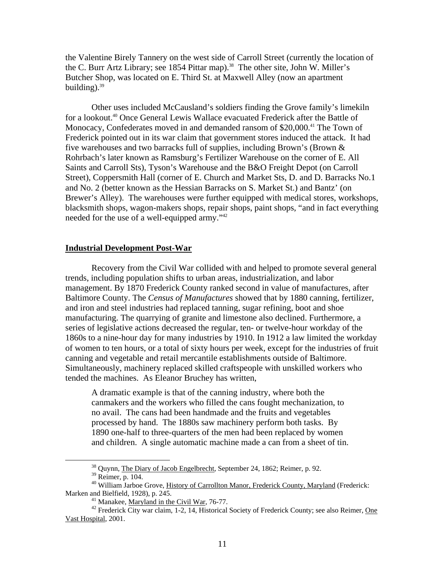the Val entine Birely Tannery on the west side of Carroll Street (currently the location of the C. Burr Artz Library; see 1854 Pittar map).<sup>38</sup> The other site, John W. Miller's Butcher Shop, was located on E. Third St. at Maxwell Alley (now an apartment building). [39](#page-10-1)

Other uses included McCausland's soldiers finding the Grove family's limekiln for a lookout.<sup>40</sup> Once General Lewis Wallace evacuated Frederick after the Battle of Monocacy, Confederates moved in and demanded ransom of \$20,000.<sup>41</sup> The Town of Frederi ck pointed out in its war claim that government stores induced the attack. It had Street), Coppersmith Hall (corner of E. Church and Market Sts, D. and D. Barracks No.1 Brewer's Alley). The warehouses were further equipped with medical stores, workshops, five warehouses and two barracks full of supplies, including Brown's (Brown & Rohrbach's later known as Ramsburg's Fertilizer Warehouse on the corner of E. All Saints and Carroll Sts), Tyson's Warehouse and the B&O Freight Depot (on Carroll and No. 2 (better known as the Hessian Barracks on S. Market St.) and Bantz' (on blacksmith shops, wagon-makers shops, repair shops, paint shops, "and in fact everything needed for the use of a well-equipped army."[42](#page-10-4)

## **Industrial Development Post-War**

Recovery from the Civil War collided with and helped to promote several general trends, including population shifts to urban areas, industrialization, and labor management. By 1870 Frederick County ranked second in value of manufactures, after Baltimore County. The *Census of Manufactures* showed that by 1880 canning, fertilizer, and iron and steel industries had replaced tanning, sugar refining, boot and shoe 1860s to a nine-hour day for many industries by 1910. In 1912 a law limited the workday of women to ten hours, or a total of sixty hours per week, except for the industries of fruit manufacturing. The quarrying of granite and limestone also declined. Furthermore, a series of legislative actions decreased the regular, ten- or twelve-hour workday of the canning and vegetable and retail mercantile establishments outside of Baltimore. Simultaneously, machinery replaced skilled craftspeople with unskilled workers who tended the machines. As Eleanor Bruchey has written,

no avail. The cans had been handmade and the fruits and vegetables processed by hand. The 1880s saw machinery perform both tasks. By and children. A single automatic machine made a can from a sheet of tin. A dramatic example is that of the canning industry, where both the canmakers and the workers who filled the cans fought mechanization, to 1890 one-half to three-quarters of the men had been replaced by women

<span id="page-10-0"></span>

<span id="page-10-2"></span><span id="page-10-1"></span>

<sup>&</sup>lt;sup>38</sup> Quynn, <u>The Diary of Jacob Engelbrecht</u>, September 24, 1862; Reimer, p. 92.<br><sup>39</sup> Reimer, p. 104.<br><sup>40</sup> William Jarboe Grove, <u>History of Carrollton Manor, Frederick County, Maryland</u> (Frederick:<br>Marken and Bielfield,

<span id="page-10-4"></span><span id="page-10-3"></span>

<sup>&</sup>lt;sup>41</sup> Manakee, <u>Maryland in the Civil War</u>, 76-77.<br><sup>42</sup> Frederick City war claim, 1-2, 14, Historical Society of Frederick County; see also Reimer, One Vast Hospital, 2001.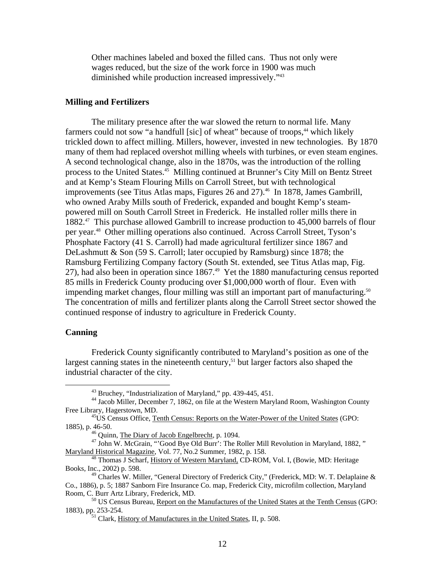Other machines labeled and boxed the filled cans. Thus not only were wages reduced, but the size of the work force in 1900 was much diminished while production increased impressively." [43](#page-11-0) 

### **Milling and Fertilizers**

The military presence after the war slowed the return to normal life. Many farmers could not sow "a handfull [sic] of wheat" because of troops,<sup>44</sup> which likely trickled down to affect milling. Millers, however, invested in new technologies. By 1870 many of them had replaced overshot milling wheels with turbines, or even steam engines. A second technological change, also in the 1870s, was the introduction of the rolling process to the United States.<sup>45</sup> Milling continued at Brunner's City Mill on Bentz Street 1882.<sup>47</sup> This purchase allowed Gambrill to increase production to 45,000 barrels of flour 27), had also been in operation since 1867.<sup>49</sup> Yet the 1880 manufacturing census reported 85 mills in Frederick County producing over \$1,000,000 worth of flour. Even with impending market changes, flour milling was still an important part of manufacturing.<sup>50</sup> The concentration of mills and fertilizer plants along the Carroll Street sector showed the and at Kemp's Steam Flouring Mills on Carroll Street, but with technological improvements (see Titus Atlas maps, Figures 26 and 27).<sup>46</sup> In 1878, James Gambrill, who owned Araby Mills south of Frederick, expanded and bought Kemp's steampowered mill on South Carroll Street in Frederick. He installed roller mills there in per year[.48](#page-11-5) Other milling operations also continued. Across Carroll Street, Tyson's Phosphate Factory (41 S. Carroll) had made agricultural fertilizer since 1867 and DeLashmutt & Son (59 S. Carroll; later occupied by Ramsburg) since 1878; the Ramsburg Fertilizing Company factory (South St. extended, see Titus Atlas map, Fig. continued response of industry to agriculture in Frederick County.

### **Canning**

Frederick County significantly contributed to Maryland's position as one of the largest canning states in the nineteenth century, $51$  but larger factors also shaped the industrial character of the city.

<span id="page-11-1"></span><span id="page-11-0"></span><sup>43</sup> Bruchey, "Industrialization of Maryland," pp. 439-445, 451.

<sup>&</sup>lt;sup>44</sup> Jacob Miller, December 7, 1862, on file at the Western Maryland Room, Washington County Free Lib rary, Hagerstown, MD.<br><sup>45</sup>US Census Office, <u>Tenth Census: Reports on the Water-Power of the United States</u> (GPO:

<sup>1885),</sup> p .  $46-50$ .<br><sup>46</sup> Quinn, The Diary of Jacob Engelbrecht, p. 1094.

<span id="page-11-5"></span><span id="page-11-4"></span><span id="page-11-3"></span><span id="page-11-2"></span>

<sup>&</sup>lt;sup>47</sup> John W. McGrain, "'Good Bye Old Burr': The Roller Mill Revolution in Maryland, 1882," Marylan d Historical Magazine, Vol. 77, No.2 Summer, 1982, p. 158.

<sup>48</sup> Thomas J Scharf, History of Western Maryland, CD-ROM, Vol. I, (Bowie, MD: Heritage Books, Inc., 2002) p. 598.

<span id="page-11-6"></span>nc., 2002) p. 598.<br><sup>49</sup> Charles W. Miller, "General Directory of Frederick City," (Frederick, MD: W. T. Delaplaine & Co., 188 6), p. 5; 1887 Sanborn Fire Insurance Co. map, Frederick City, microfilm collection, Maryland

Room, C. Burr Artz Library, Frederick, MD.<br><sup>50</sup> US Census Bureau, <u>Report on the Manufactures of the United States at the Tenth Census</u> (GPO: 1883), p p. 253-254.<br><sup>51</sup> Clark, History of Manufactures in the United States, II, p. 508.

<span id="page-11-8"></span><span id="page-11-7"></span>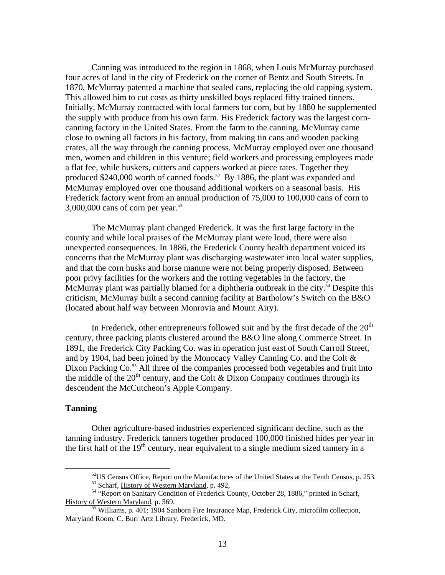Canning was introduced to the region in 1868, when Louis McMurray purchased four acres of land in the city of Frederick on the corner of Bentz and South Streets. In 1870, McMurray patented a machine that sealed cans, replacing the old capping system. This al lowed him to cut costs as thirty unskilled boys replaced fifty trained tinners. Initially, McMurray contracted with local farmers for corn, but by 1880 he supplemented men, women and children in this venture; field workers and processing employees made Frederick factory went from an annual production of 75,000 to 100,000 cans of corn to the supply with produce from his own farm. His Frederick factory was the largest corncanning factory in the United States. From the farm to the canning, McMurray came close to owning all factors in his factory, from making tin cans and wooden packing crates, all the way through the canning process. McMurray employed over one thousand a flat fee, while huskers, cutters and cappers worked at piece rates. Together they produced  $$240,000$  worth of canned foods.<sup>52</sup> By 1886, the plant was expanded and McMurray employed over one thousand additional workers on a seasonal basis. His 3,000,000 cans of corn per year.[53](#page-12-1) 

county and while local praises of the McMurray plant were loud, there were also unexpected consequences. In 1886, the Frederick County health department voiced its concerns that the McMurray plant was discharging wastewater into local water supplies, and that the corn husks and horse manure were not being properly disposed. Between The McMurray plant changed Frederick. It was the first large factory in the poor privy facilities for the workers and the rotting vegetables in the factory, the McMurray plant was partially blamed for a diphtheria outbreak in the city.<sup>54</sup> Despite this criticism, McMurray built a second canning facility at Bartholow's Switch on the B&O (located about half way between Monrovia and Mount Airy).

century, three packing plants clustered around the B&O line along Commerce Street. In 1891, the Frederick City Packing Co. was in operation just east of South Carroll Street, and by 1904, had been joined by the Monocacy Valley Canning Co. and the Colt & In Frederick, other entrepreneurs followed suit and by the first decade of the  $20<sup>th</sup>$ Dixon Packing Co.<sup>55</sup> All three of the companies processed both vegetables and fruit into the middle of the  $20<sup>th</sup>$  century, and the Colt & Dixon Company continues through its descendent the McCutcheon's Apple Company.

### **Tanning**

Other agriculture-based industries experienced significant decline, such as the tanning industry. Frederick tanners together produced 100,000 finished hides per year in the first half of the  $19<sup>th</sup>$  century, near equivalent to a single medium sized tannery in a

<span id="page-12-0"></span>

<span id="page-12-3"></span><span id="page-12-2"></span><span id="page-12-1"></span>

<sup>&</sup>lt;sup>52</sup>US Census Office, <u>Report on the Manufactures of the United States at the Tenth Census</u>, p. 253.<br><sup>53</sup> Scharf, <u>History of Western Maryland</u>, p. 492,<br><sup>54</sup> "Report on Sanitary Condition of Frederick County, October 28,

 $\frac{55}{55}$  Williams, p. 401; 1904 Sanborn Fire Insurance Map, Frederick City, microfilm collection, Maryland Room, C. Burr Artz Library, Frederick, MD.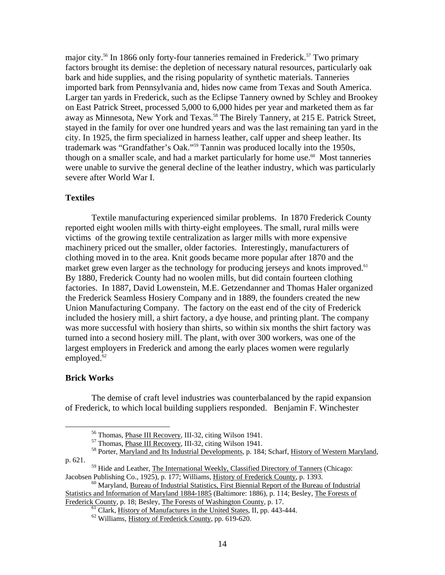major city.<sup>56</sup> In 1866 only forty-four tanneries remained in Frederick.<sup>57</sup> Two primary imported bark from Pennsylvania and, hides now came from Texas and South America. on East Patrick Street, processed 5,000 to 6,000 hides per year and marketed them as far were unable to survive the general decline of the leather industry, which was particularly factors brought its demise: the depletion of necessary natural resources, particularly oak bark and hide supplies, and the rising popularity of synthetic materials. Tanneries Larger tan yards in Frederick, such as the Eclipse Tannery owned by Schley and Brookey away as Minnesota, New York and Texas.<sup>[58](#page-13-2)</sup> The Birely Tannery, at 215 E. Patrick Street, stayed in the family for over one hundred years and was the last remaining tan yard in the city. In 1925, the firm specialized in harness leather, calf upper and sheep leather. Its trademark was "Grandfather's Oak."[59](#page-13-3) Tannin was produced locally into the 1950s, though on a smaller scale, and had a market particularly for home use.<sup>60</sup> Most tanneries severe after World War I.

## **Textiles**

Textile manufacturing experienced similar problems. In 1870 Frederick County reported eight woolen mills with thirty-eight employees. The small, rural mills were victims of the growing textile centralization as larger mills with more expensive machin ery priced out the smaller, older factories. Interestingly, manufacturers of market grew even larger as the technology for producing jerseys and knots improved.<sup>[61](#page-13-5)</sup> factories. In 1887, David Lowenstein, M.E. Getzendanner and Thomas Haler organized Union Manufacturing Company. The factory on the east end of the city of Frederick was more successful with hosiery than shirts, so within six months the shirt factory was clothing moved in to the area. Knit goods became more popular after 1870 and the By 1880, Frederick County had no woolen mills, but did contain fourteen clothing the Frederick Seamless Hosiery Company and in 1889, the founders created the new included the hosiery mill, a shirt factory, a dye house, and printing plant. The company turned into a second hosiery mill. The plant, with over 300 workers, was one of the largest employers in Frederick and among the early places women were regularly employed. $62$ 

### **Brick Works**

1

The demise of craft level industries was counterbalanced by the rapid expansion of Frederick, to which local building suppliers responded. Benjamin F. Winchester

<span id="page-13-0"></span>

<span id="page-13-3"></span><span id="page-13-2"></span><span id="page-13-1"></span>

<sup>&</sup>lt;sup>56</sup> Thomas, <u>Phase III Recovery</u>, III-32, citing Wilson 1941.<br><sup>57</sup> Thomas, <u>Phase III Recovery</u>, III-32, citing Wilson 1941.<br><sup>58</sup> Porter, Maryland and Its Industrial Developments, p. 184; Scharf, <u>History of Western Maryl</u> p. 621.

<sup>&</sup>lt;sup>59</sup> Hide and Leather, <u>The International Weekly, Classified Directory of Tanners</u> (Chicago: Jacobsen Publishing Co., 1925), p. 177; Williams, History of Frederick County, p. 1393.

<span id="page-13-4"></span> $\rm{^{60}}$  Maryland, Bureau of Industrial Statistics, First Biennial Report of the Bureau of Industrial Statistics and Information of Maryland 1884-1885 (Baltimore: 1886), p. 114; Besley, The Forests of

Frederick County, p. 18; Besley, The Forests of Washington County, p. 17.<br><sup>61</sup> Clark, History of Manufactures in the United States, II, pp. 443-444.<br><sup>62</sup> Williams, History of Frederick County, pp. 619-620.

<span id="page-13-6"></span><span id="page-13-5"></span>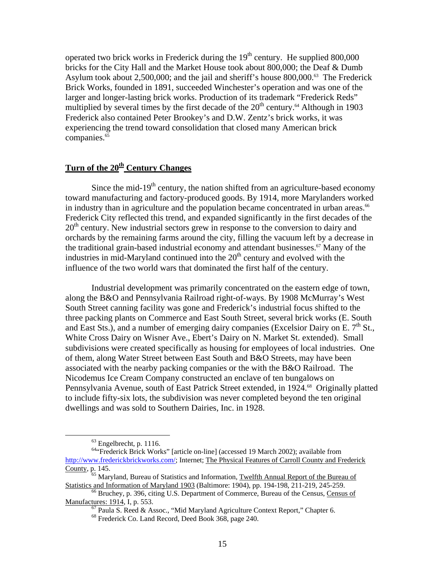operated two brick works in Frederick during the  $19<sup>th</sup>$  century. He supplied 800,000 bricks for the City Hall and the Market House took about 800,000; the Deaf & Dumb Asylum took about 2,500,000; and the jail and sheriff's house 800,000.<sup>63</sup> The Frederick Brick Works, founded in 1891, succeeded Winchester's operation and was one of the larger and longer-lasting brick works. Production of its trademark "Frederick Reds" multiplied by several times by the first decade of the  $20<sup>th</sup>$  century.<sup>64</sup> Although in 1903 Frederick also contained Peter Brookey's and D.W. Zentz's brick works, it was experiencing the trend toward consolidation that closed many American brick companies.<sup>65</sup>

# Turn of the 20<sup>th</sup> Century Changes

Since the mid-19<sup>th</sup> century, the nation shifted from an agriculture-based economy toward manufacturing and factory-produced goods. By 1914, more Marylanders worked in industry than in agriculture and the population became concentrated in urban areas.<sup>66</sup> Frederick City reflected this trend, and expanded significantly in the first decades of the 20<sup>th</sup> century. New industrial sectors grew in response to the conversion to dairy and orchards by the remaining farms around the city, filling the vacuum left by a decrease in the traditional grain-based industrial economy and attendant businesses.<sup>67</sup> Many of the industries in mid-Maryland continued into the  $20<sup>th</sup>$  century and evolved with the influence of the two world wars that dominated the first half of the century.

along the B&O and Pennsylvania Railroad right-of-ways. By 1908 McMurray's West South Street canning facility was gone and Frederick's industrial focus shifted to the three packing plants on Commerce and East South Street, several brick works (E. South and East Sts.), and a number of emerging dairy companies (Excelsior Dairy on E.  $7<sup>th</sup>$  St., subdivisions were created specifically as housing for employees of local industries. One to include fifty-six lots, the subdivision was never completed beyond the ten original Industrial development was primarily concentrated on the eastern edge of town, White Cross Dairy on Wisner Ave., Ebert's Dairy on N. Market St. extended). Small of them, along Water Street between East South and B&O Streets, may have been associated with the nearby packing companies or the with the B&O Railroad. The Nicodemus Ice Cream Company constructed an enclave of ten bungalows on Pennsylvania Avenue, south of East Patrick Street extended, in 1924.<sup>[68](#page-14-5)</sup> Originally platted dwellings and was sold to Southern Dairies, Inc. in 1928.

 $\overline{a}$ 

<span id="page-14-1"></span><span id="page-14-0"></span> $63$  Engelbrecht, p. 1116.

<sup>&</sup>lt;sup>64</sup>"Frederick Brick Works" [article on-line] (accessed 19 March 2002); available from http://www.frederickbrickworks.com/[; Internet; The Physical Features of Carroll County and](http://www.frederickbrickworks.com/) Frederick [County, p. 145.](http://www.frederickbrickworks.com/) 

<span id="page-14-2"></span> $65$  [Mary](http://www.frederickbrickworks.com/)land, Bureau of Statistics and Information, Twelfth Annual Report of the Bureau of Statistics and Information of Maryland 1903 (Baltimore: 1904), pp. 194-198, 211-219, 245-259.

<sup>&</sup>lt;sup>66</sup> Bruchey, p. 396, citing U.S. Department of Commerce, Bureau of the Census, Census of Manufactures: 1914, I, p. 553.

<span id="page-14-4"></span><span id="page-14-3"></span> $\frac{67}{67}$  Paula S. Reed & Assoc., "Mid Maryland Agriculture Context Report," Chapter 6. 68 Frederick Co. Land Record, Deed Book 368, page 240.

<span id="page-14-5"></span>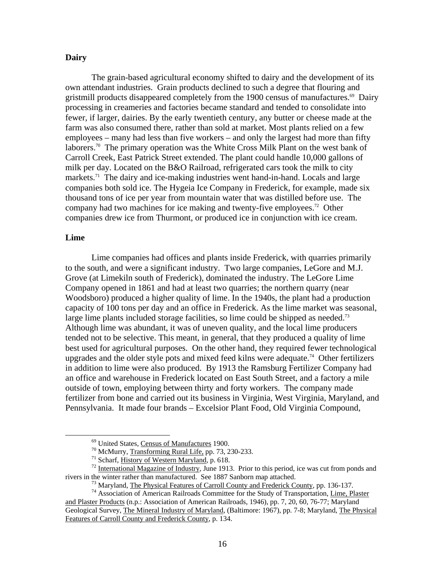## **Dairy**

The grain-based agricultural economy shifted to dairy and the development of its own attendant industries. Grain products declined to such a degree that flouring and gristmill products disappeared completely from the 1900 census of manufactures.<sup>69</sup> Dairy processing in creameries and factories became standard and tended to consolidate into fewer, if larger, dairies. By the early twentieth century, any butter or cheese made at the farm was also consumed there, rather than sold at market. Most plants relied on a few employees – many had less than five workers – and only the largest had more than fifty laborers.<sup>70</sup> The primary operation was the White Cross Milk Plant on the west bank of Carroll Creek, East Patrick Street extended. The plant could handle 10,000 gallons of milk per day. Located on the B&O Railroad, refrigerated cars took the milk to city markets.<sup>71</sup> The dairy and ice-making industries went hand-in-hand. Locals and large companies both sold ice. The Hygeia Ice Company in Frederick, for example, made six thousand tons of ice per year from mountain water that was distilled before use. The company had two machines for ice making and twenty-five employees.<sup>72</sup> Other companies drew ice from Thurmont, or produced ice in conjunction with ice cream.

## **Lime**

Lime companies had offices and plants inside Frederick, with quarries primarily to the south, and were a significant industry. Two large companies, LeGore and M.J. Grove (at Limekiln south of Frederick), dominated the industry. The LeGore Lime Company opened in 1861 and had at least two quarries; the northern quarry (near capacity of 100 tons per day and an office in Frederick. As the lime market was seasonal, Although lime was abundant, it was of uneven quality, and the local lime producers upgrades and the older style pots and mixed feed kilns were adequate.<sup>[74](#page-15-5)</sup> Other fertilizers in addition to lime were also produced. By 1913 the Ramsburg Fertilizer Company had Woodsboro) produced a higher quality of lime. In the 1940s, the plant had a production large lime plants included storage facilities, so lime could be shipped as needed.<sup>[73](#page-15-4)</sup> tended not to be selective. This meant, in general, that they produced a quality of lime best used for agricultural purposes. On the other hand, they required fewer technological an office and warehouse in Frederick located on East South Street, and a factory a mile outside of town, employing between thirty and forty workers. The company made fertilizer from bone and carried out its business in Virginia, West Virginia, Maryland, and Pennsylvania. It made four brands – Excelsior Plant Food, Old Virginia Compound,

<span id="page-15-0"></span>

<span id="page-15-1"></span>

<span id="page-15-3"></span><span id="page-15-2"></span>

<sup>&</sup>lt;sup>69</sup> United States, <u>Census of Manufactures</u> 1900.<br><sup>70</sup> McMurry, Transforming Rural Life, pp. 73, 230-233.<br><sup>71</sup> Scharf, <u>History of Western Maryland</u>, p. 618.<br><sup>72</sup> International Magazine of Industry, June 1913. Prior to t

<span id="page-15-5"></span><span id="page-15-4"></span>

<sup>&</sup>lt;sup>73</sup> Maryland, <u>The Physical Features of Carroll County and Frederick County</u>, pp. 136-137.<br><sup>74</sup> Association of American Railroads Committee for the Study of Transportation, *Lime*, *Plaster* and Plaster Products (n.p.: Association of American Railroads, 1946), pp. 7, 20, 60, 76-77; Maryland Geological Survey, The Mineral Industry of Maryland, (Baltimore: 1967), pp. 7-8; Maryland, The Physical Features of Carroll County and Frederick County, p. 134.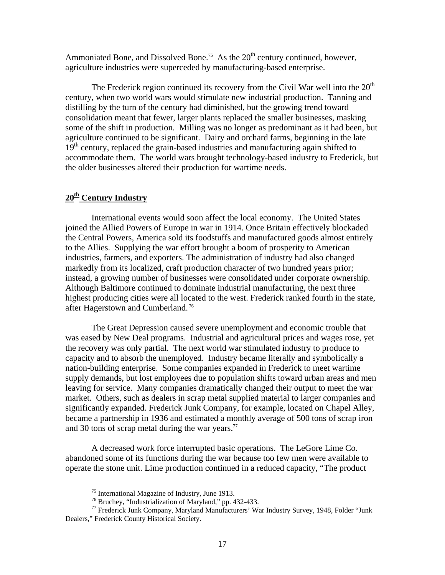Ammoniated Bone, and Dissolved Bone.<sup>75</sup> As the  $20<sup>th</sup>$  century continued, however, agriculture industries were superceded by manufacturing-based enterprise.

The Frederick region continued its recovery from the Civil War well into the  $20<sup>th</sup>$ century, when two world wars would stimulate new industrial production. Tanning a nd distilling by the turn of the century had diminished, but the growing trend to ward consolidation meant that fewer, larger plants replaced the smaller businesses, masking some o f the shift in production. Milling was no longer as predominant as it had been, but accommodate them. The world wars brought technology-based industry to Frederick, but agriculture continued to be significant. Dairy and orchard farms, beginning in the late  $19<sup>th</sup>$  century, replaced the grain-based industries and manufacturing again shifted to the older businesses altered their production for wartime needs.

# **20th Century Industry**

<u>.</u>

International events would soon affect the local economy. The United States joined the Allied Powers of Europe in war in 1914. Once Britain effectively blockaded the Central Powers, America sold its foodstuffs and manufactured goods almost entirely to the Allies. Supplying the war effort brought a boom of prosperity to American industr ies, farmers, and exporters. The administration of industry had also changed highest producing cities were all located to the west. Frederick ranked fourth in the state, markedly from its localized, craft production character of two hundred years prior; instead, a growing number of businesses were consolidated under corporate ownership. Although Baltimore continued to dominate industrial manufacturing, the next three after Hagerstown and Cumberland. [76](#page-16-1)

The Great Depression caused severe unemployment and economic trouble that the recovery was only partial. The next world war stimulated industry to produce to capacity and to absorb the unemployed. Industry became literally and symbolically a nation-building enterprise. Some companies expanded in Frederick to meet wartime leaving for service. Many companies dramatically changed their output to meet the war market. Others, such as dealers in scrap metal supplied material to larger companies and significantly expanded. Frederick Junk Company, for example, located on Chapel Alley, was eased by New Deal programs. Industrial and agricultural prices and wages rose, yet supply demands, but lost employees due to population shifts toward urban areas and men became a partnership in 1936 and estimated a monthly average of 500 tons of scrap iron and 30 tons of scrap metal during the war years. $^{77}$ 

operate the stone unit. Lime production continued in a reduced capacity, "The product A decreased work force interrupted basic operations. The LeGore Lime Co. abandoned some of its functions during the war because too few men were available to

<span id="page-16-0"></span>

<span id="page-16-2"></span><span id="page-16-1"></span>

<sup>&</sup>lt;sup>75</sup> International Magazine of Industry, June 1913.<br><sup>76</sup> Bruchey, "Industrialization of Maryland," pp. 432-433.<br><sup>77</sup> Frederick Junk Company, Maryland Manufacturers' War Industry Survey, 1948, Folder "Junk Dealers," Frederick County Historical Society.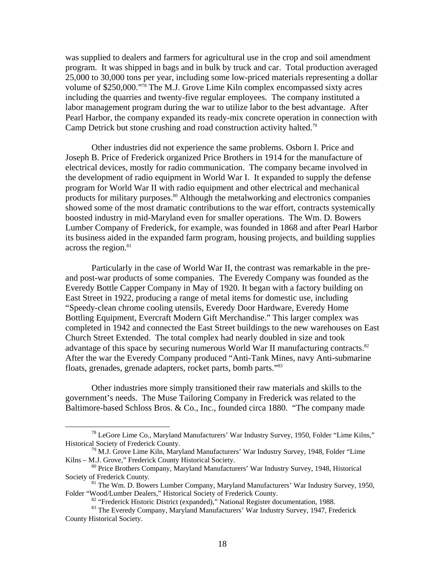was supplied to dealers and farmers for agricultural use in the crop and soil amendment program. It was shipped in bags and in bulk by truck and car. Total production averaged 25,000 to 30,000 tons per year, including some low-priced materials representing a dollar volume of \$250,000.["78](#page-17-0) The M.J. Grove Lime Kiln complex encompassed sixty acres including the quarries and twenty-five regular employees. The company instituted a labor management program during the war to utilize labor to the best advantage. After Pearl Harbor, the company expanded its ready-mix concrete operation in connection with Camp Detrick but stone crushing and road construction activity halted[.79](#page-17-1) 

the development of radio equipment in World War I. It expanded to supply the defense program for World War II with radio equipment and other electrical and mechanical products for military purposes.<sup>80</sup> Although the metalworking and electronics companies showed some of the most dramatic contributions to the war effort, contracts systemically Lumber Company of Frederick, for example, was founded in 1868 and after Pearl Harbor Other industries did not experience the same problems. Osborn I. Price and Joseph B. Price of Frederick organized Price Brothers in 1914 for the manufacture of electrical devices, mostly for radio communication. The company became involved in boosted industry in mid-Maryland even for smaller operations. The Wm. D. Bowers its business aided in the expanded farm program, housing projects, and building supplies across the region.<sup>[81](#page-17-3)</sup>

Everedy Bottle Capper Company in May of 1920. It began with a factory building on East Street in 1922, producing a range of metal items for domestic use, including completed in 1942 and connected the East Street buildings to the new warehouses on East advantage of this space by securing numerous World War II manufacturing contracts.<sup>[82](#page-17-4)</sup> After the war the Everedy Company produced "Anti-Tank Mines, navy Anti-submarine Particularly in the case of World War II, the contrast was remarkable in the preand post-war products of some companies. The Everedy Company was founded as the "Speedy-clean chrome cooling utensils, Everedy Door Hardware, Everedy Home Bottling Equipment, Evercraft Modern Gift Merchandise." This larger complex was Church Street Extended. The total complex had nearly doubled in size and took floats, grenades, grenade adapters, rocket parts, bomb parts."[83](#page-17-5)

Baltimore-based Schloss Bros. & Co., Inc., founded circa 1880. "The company made Other industries more simply transitioned their raw materials and skills to the government's needs. The Muse Tailoring Company in Frederick was related to the

<span id="page-17-0"></span> $\overline{a}$ 

 $^{78}$  LeGore Lime Co., Maryland Manufacturers' War Industry Survey, 1950, Folder "Lime Kilns,"<br>Historical Society of Frederick County.

<span id="page-17-1"></span> $^{79}$  M.J. Grove Lime Kiln, Maryland Manufacturers' War Industry Survey, 1948, Folder "Lime Kilns – M.J. Grove," Frederick County Historical Society.

<span id="page-17-2"></span><sup>&</sup>lt;sup>80</sup> Price Brothers Company, Maryland Manufacturers' War Industry Survey, 1948, Historical

Society of Frederick County.<br><sup>81</sup> The Wm. D. Bowers Lumber Company, Maryland Manufacturers' War Industry Survey, 1950,<br>Folder "Wood/Lumber Dealers," Historical Society of Frederick County.

<span id="page-17-5"></span><span id="page-17-4"></span><span id="page-17-3"></span>

<sup>&</sup>lt;sup>82</sup> "Frederick Historic District (expanded)," National Register documentation, 1988.<br><sup>83</sup> The Everedy Company, Maryland Manufacturers' War Industry Survey, 1947, Frederick County Historical Society.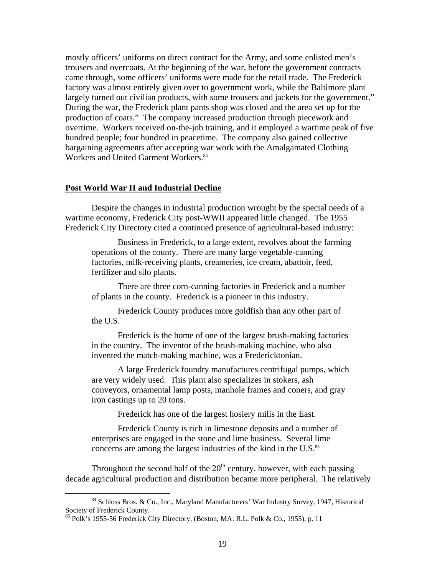mostly officers' uniforms on direct contract for the Army, and some enlisted men's largely turned out civilian products, with some trousers and jackets for the government." overtime. Workers received on-the-job training, and it employed a wartime peak of five trousers and overcoats. At the beginning of the war, before the government contracts came through, some officers' uniforms were made for the retail trade. The Frederick factory was almost entirely given over to government work, while the Baltimore plant During the war, the Frederick plant pants shop was closed and the area set up for the production of coats." The company increased production through piecework and hundred people; four hundred in peacetime. The company also gained collective bargaining agreements after accepting war work with the Amalgamated Clothing Workers and United Garment Workers.<sup>[84](#page-18-0)</sup>

## **Post World War II and Industrial Decline**

Despite the changes in industrial production wrought by the special needs of a wartime economy, Frederick City post-WWII appeared little changed. The 1955 Frederick City Directory cited a continued presence of agricultural-based industry:

Business in Frederick, to a large extent, revolves about the farming operations of the county. There are many large vegetable-canning factories, milk-receiving plants, creameries, ice cream, abattoir, feed, fertilizer and silo plants.

There are three corn-canning factories in Frederick and a number of plants in the county. Frederick is a pioneer in this industry.

Frederick County produces more goldfish than any other part of the U.S.

Frederick is the home of one of the largest brush-making factories in the country. The inventor of the brush-making machine, who also invented the match-making machine, was a Fredericktonian.

conveyors, ornamental lamp posts, manhole frames and coners, and gray A large Frederick foundry manufactures centrifugal pumps, which are very widely used. This plant also specializes in stokers, ash iron castings up to 20 tons.

Frederick has one of the largest hosiery mills in the East.

enterprises are engaged in the stone and lime business. Several lime Frederick County is rich in limestone deposits and a number of concerns are among the largest industries of the kind in the U.S.<sup>[85](#page-18-1)</sup>

Throughout the second half of the  $20<sup>th</sup>$  century, however, with each passing decade agricultural production and distribution became more peripheral. The relatively

<span id="page-18-0"></span>1

<sup>84</sup> Schloss Bros. & Co., Inc., Maryland Manufacturers' War Industry Survey, 1947, Historical Society of Frederick County. Society of Frederick County.<br><sup>85</sup> Polk's 1955-56 Frederick City Directory, (Boston, MA: R.L. Polk & Co., 1955), p. 11

<span id="page-18-1"></span>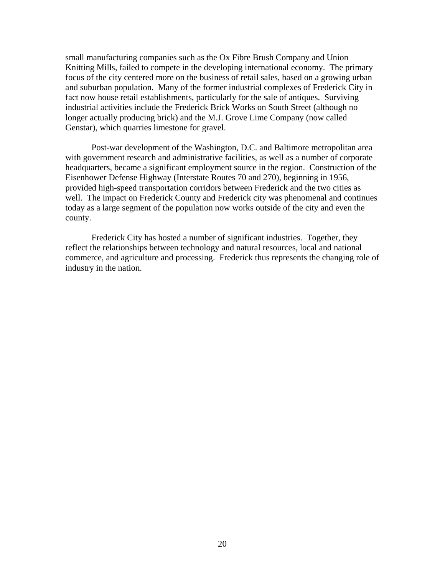small manufacturing companies such as the Ox Fibre Brush Company and Union Knitting Mills, failed to compete in the developing international economy. The primary focus of the city centered more on the business of retail sales, based on a growing urban and suburban population. Many of the former industrial complexes of Frederick City in fact no w house retail establishments, particularly for the sale of antiques. Surviving industrial activities include the Frederick Brick Works on South Street (although no longer actually producing brick) and the M.J. Grove Lime Company (now called Genstar), which quarries limestone for gravel.

with government research and administrative facilities, as well as a number of corporate headquarters, became a significant employment source in the region. Construction of the provided high-speed transportation corridors between Frederick and the two cities as well. The impact on Frederick County and Frederick city was phenomenal and continues today a s a large segment of the population now works outside of the city and even the Post-war development of the Washington, D.C. and Baltimore metropolitan area Eisenhower Defense Highway (Interstate Routes 70 and 270), beginning in 1956, county.

Frederick City has hosted a number of significant industries. Together, they reflect the relationships between technology and natural resources, local and national commerce, and agriculture and processing. Frederick thus represents the changing role of industry in the nation.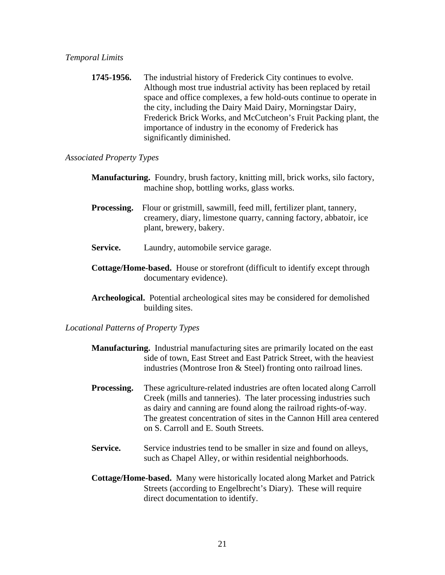**1745-1956.** The industrial history of Frederick City continues to evolve. Although most true industrial activity has been replaced by retail space and office complexes, a few hold-outs continue to operate in the city, including the Dairy Maid Dairy, Morningstar Dairy, Frederick Brick Works, and McCutcheon's Fruit Packing plant, the importance of industry in the economy of Frederick has significantly diminished.

# *Associated Property Types*

- **Manufacturing.** Foundry, brush factory, knitting mill, brick works, silo factory, machine shop, bottling works, glass works.
- **Processing.** Flour or gristmill, sawmill, feed mill, fertilizer plant, tannery, creamery, diary, limestone quarry, canning factory, abbatoir, ice plant, brewery, bakery.
- **Service.** Laundry, automobile service garage.
- **Cottage/Home-based.** House or storefront (difficult to identify except through documentary evidence).
- **Archeological.** Potential archeological sites may be considered for demolished building sites.

*Locational Patterns of Property Types* 

- **Manufacturing.** Industrial manufacturing sites are primarily located on the east side of town, East Street and East Patrick Street, with the heaviest industries (Montrose Iron & Steel) fronting onto railroad lines.
- **Processing.** These agriculture-related industries are often located along Carroll Creek (mills and tanneries). The later processing industries such as dairy and canning are found along the railroad rights-of-way. The greatest concentration of sites in the Cannon Hill area centered on S. Carroll and E. South Streets.
- Service. Service industries tend to be smaller in size and found on alleys, such as Chapel Alley, or within residential neighborhoods.
- **Cottage/Home-based.** Many were historically located along Market and Patrick Streets (according to Engelbrecht's Diary). These will require direct documentation to identify.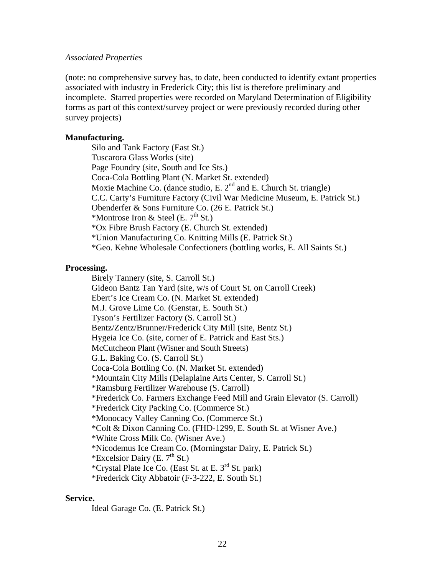## *Associated Properties*

(note: no comprehensive survey has, to date, been conducted to identify extant properties associated with industry in Frederick City; this list is therefore preliminary and incomplete. Starred properties were recorded on Maryland Determination of Eligibility forms as part of this context/survey project or were previously recorded during other survey projects)

## **Manufacturing.**

Silo and Tank Factory (East St.) Tuscarora Glass Works (site) Page Foundry (site, South and Ice Sts.) Coca-Cola Bottling Plant (N. Market St. extended) Moxie Machine Co. (dance studio, E.  $2<sup>nd</sup>$  and E. Church St. triangle) C.C. Carty's Furniture Factory (Civil War Medicine Museum, E. Patrick St.) Obenderfer & Sons Furniture Co. (26 E. Patrick St.) \*Montrose Iron & Steel (E.  $7<sup>th</sup>$  St.) \*Ox Fibre Brush Factory (E. Church St. extended) \*Union Manufacturing Co. Knitting Mills (E. Patrick St.) \*Geo. Kehne Wholesale Confectioners (bottling works, E. All Saints St.)

## **Processing.**

Birely Tannery (site, S. Carroll St.) Gideon Bantz Tan Yard (site, w/s of Court St. on Carroll Creek) Ebert's Ice Cream Co. (N. Market St. extended) M.J. Grove Lime Co. (Genstar, E. South St.) Tyson's Fertilizer Factory (S. Carroll St.) Bentz/Zentz/Brunner/Frederick City Mill (site, Bentz St.) Hygeia Ice Co. (site, corner of E. Patrick and East Sts.) McCutcheon Plant (Wisner and South Streets) G.L. Baking Co. (S. Carroll St.) Coca-Cola Bottling Co. (N. Market St. extended) \*Mountain City Mills (Delaplaine Arts Center, S. Carroll St.) \*Ramsburg Fertilizer Warehouse (S. Carroll) \*Frederick Co. Farmers Exchange Feed Mill and Grain Elevator (S. Carroll) \*Frederick City Packing Co. (Commerce St.) \*Monocacy Valley Canning Co. (Commerce St.) \*Colt & Dixon Canning Co. (FHD-1299, E. South St. at Wisner Ave.) \*White Cross Milk Co. (Wisner Ave.) \*Nicodemus Ice Cream Co. (Morningstar Dairy, E. Patrick St.) \*Excelsior Dairy (E.  $7<sup>th</sup>$  St.) \*Crystal Plate Ice Co. (East St. at E.  $3<sup>rd</sup>$  St. park) \*Frederick City Abbatoir (F-3-222, E. South St.)

#### **Service.**

Ideal Garage Co. (E. Patrick St.)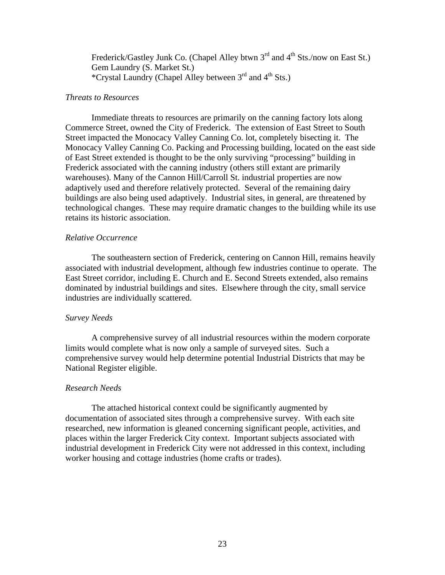Frederick/Gastley Junk Co. (Chapel Alley btwn 3<sup>rd</sup> and 4<sup>th</sup> Sts./now on East St.) Gem Laundry (S. Market St.) \*Crystal Laundry (Chapel Alley between 3rd and 4th Sts.)

## *Threats to Resources*

Immediate threats to resources are primarily on the canning factory lots along Commerce Street, owned the City of Frederick. The extension of East Street to South Street impacted the Monocacy Valley Canning Co. lot, completely bisecting it. The Monocacy Valley Canning Co. Packing and Processing building, located on the east side of East Street extended is thought to be the only surviving "processing" building in Frederick associated with the canning industry (others still extant are primarily warehouses). Many of the Cannon Hill/Carroll St. industrial properties are now adaptively used and therefore relatively protected. Several of the remaining dairy buildings are also being used adaptively. Industrial sites, in general, are threatened by technological changes. These may require dramatic changes to the building while its use retains its historic association.

### *Relative Occurrence*

The southeastern section of Frederick, centering on Cannon Hill, remains heavily associated with industrial development, although few industries continue to operate. The East Street corridor, including E. Church and E. Second Streets extended, also remains dominated by industrial buildings and sites. Elsewhere through the city, small service industries are individually scattered.

#### *Survey Needs*

A comprehensive survey of all industrial resources within the modern corporate limits would complete what is now only a sample of surveyed sites. Such a comprehensive survey would help determine potential Industrial Districts that may be National Register eligible.

## *Research Needs*

The attached historical context could be significantly augmented by documentation of associated sites through a comprehensive survey. With each site researched, new information is gleaned concerning significant people, activities, and places within the larger Frederick City context. Important subjects associated with industrial development in Frederick City were not addressed in this context, including worker housing and cottage industries (home crafts or trades).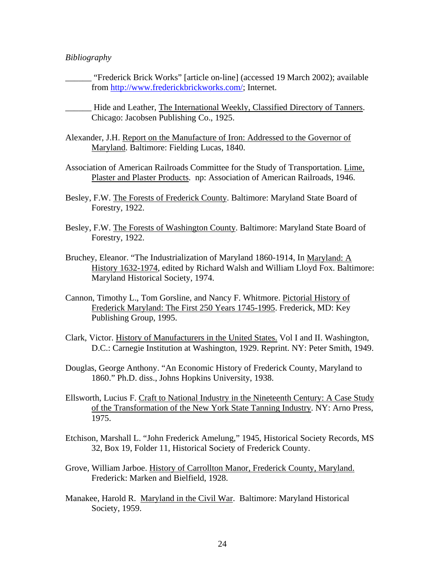### *Bibliography*

- \_\_\_\_\_\_ "Frederick Brick Works" [article on-line] (accessed 19 March 2002); available from <http://www.frederickbrickworks.com/>; Internet.
- \_\_\_\_\_\_ Hide and Leather, The International Weekly, Classified Directory of Tanners. Chicago: Jacobsen Publishing Co., 1925.
- Alexander, J.H. Report on the Manufacture of Iron: Addressed to the Governor of Maryland. Baltimore: Fielding Lucas, 1840.
- Association of American Railroads Committee for the Study of Transportation. Lime, Plaster and Plaster Products. np: Association of American Railroads, 1946.
- Besley, F.W. The Forests of Frederick County. Baltimore: Maryland State Board of Forestry, 1922.
- Besley, F.W. The Forests of Washington County. Baltimore: Maryland State Board of Forestry, 1922.
- Bruchey, Eleanor. "The Industrialization of Maryland 1860-1914, In Maryland: A History 1632-1974, edited by Richard Walsh and William Lloyd Fox. Baltimore: Maryland Historical Society, 1974.
- Cannon, Timothy L., Tom Gorsline, and Nancy F. Whitmore. Pictorial History of Frederick Maryland: The First 250 Years 1745-1995. Frederick, MD: Key Publishing Group, 1995.
- Clark, Victor. History of Manufacturers in the United States. Vol I and II. Washington, D.C.: Carnegie Institution at Washington, 1929. Reprint. NY: Peter Smith, 1949.
- Douglas, George Anthony. "An Economic History of Frederick County, Maryland to 1860." Ph.D. diss., Johns Hopkins University, 1938.
- Ellsworth, Lucius F. Craft to National Industry in the Nineteenth Century: A Case Study of the Transformation of the New York State Tanning Industry. NY: Arno Press, 1975.
- Etchison, Marshall L. "John Frederick Amelung," 1945, Historical Society Records, MS 32, Box 19, Folder 11, Historical Society of Frederick County.
- Grove, William Jarboe. History of Carrollton Manor, Frederick County, Maryland. Frederick: Marken and Bielfield, 1928.
- Manakee, Harold R. Maryland in the Civil War. Baltimore: Maryland Historical Society, 1959.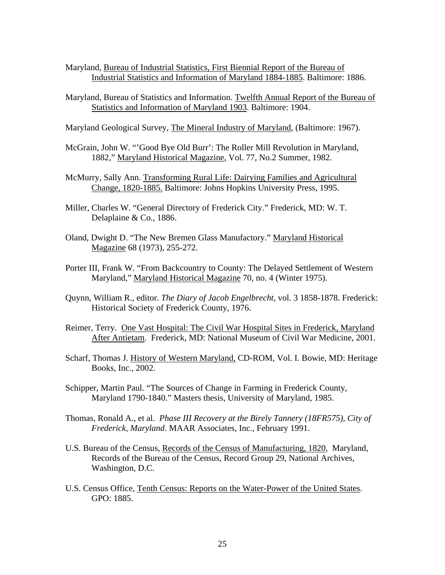- Maryland, Bureau of Industrial Statistics, First Biennial Report of the Bureau of Industrial Statistics and Information of Maryland 1884-1885. Baltimore: 1886.
- Maryland, Bureau of Statistics and Information. Twelfth Annual Report of the Bureau of Statistics and Information of Maryland 1903. Baltimore: 1904.
- Maryland Geological Survey, The Mineral Industry of Maryland, (Baltimore: 1967).
- McGrain, John W. "'Good Bye Old Burr': The Roller Mill Revolution in Maryland, 1882," Maryland Historical Magazine, Vol. 77, No.2 Summer, 1982.
- McMurry, Sally Ann. Transforming Rural Life: Dairying Families and Agricultural Change, 1820-1885. Baltimore: Johns Hopkins University Press, 1995.
- Miller, Charles W. "General Directory of Frederick City." Frederick, MD: W. T. Delaplaine & Co., 1886.
- Oland, Dwight D. "The New Bremen Glass Manufactory." Maryland Historical Magazine 68 (1973), 255-272.
- Porter III, Frank W. "From Backcountry to County: The Delayed Settlement of Western Maryland," Maryland Historical Magazine 70, no. 4 (Winter 1975).
- Quynn, William R., editor. *The Diary of Jacob Engelbrecht*, vol. 3 1858-1878. Frederick: Historical Society of Frederick County, 1976.
- Reimer, Terry. One Vast Hospital: The Civil War Hospital Sites in Frederick, Maryland After Antietam. Frederick, MD: National Museum of Civil War Medicine, 2001.
- Scharf, Thomas J. History of Western Maryland, CD-ROM, Vol. I. Bowie, MD: Heritage Books, Inc., 2002.
- Schipper, Martin Paul. "The Sources of Change in Farming in Frederick County, Maryland 1790-1840." Masters thesis, University of Maryland, 1985.
- Thomas, Ronald A., et al. *Phase III Recovery at the Birely Tannery (18FR575), City of Frederick, Maryland*. MAAR Associates, Inc., February 1991.
- U.S. Bureau of the Census, Records of the Census of Manufacturing, 1820, Maryland, Records of the Bureau of the Census, Record Group 29, National Archives, Washington, D.C.
- U.S. Census Office, Tenth Census: Reports on the Water-Power of the United States. GPO: 1885.